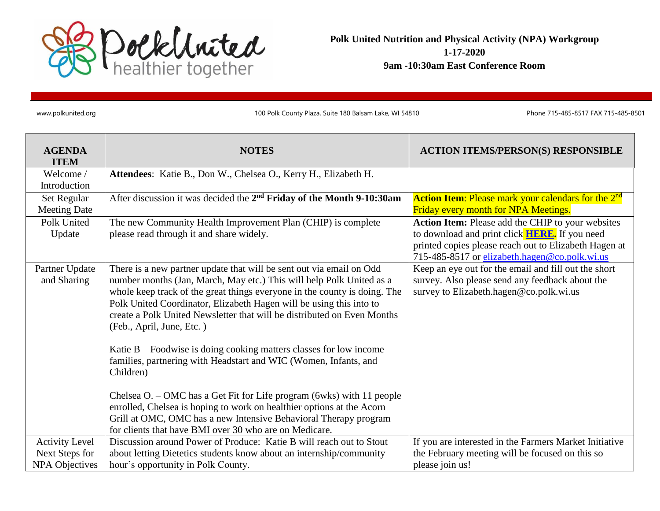

**Polk United Nutrition and Physical Activity (NPA) Workgroup 1-17-2020 9am -10:30am East Conference Room** 

www.polkunited.org 100 Polk County Plaza, Suite 180 Balsam Lake, WI 54810 Phone 715-485-8517 FAX 715-485-8501

| <b>AGENDA</b><br><b>ITEM</b>  | <b>NOTES</b>                                                                                                                                                                                                                                                                                                                                                                                                                                                                                                                                                      | <b>ACTION ITEMS/PERSON(S) RESPONSIBLE</b>                                                                                                          |
|-------------------------------|-------------------------------------------------------------------------------------------------------------------------------------------------------------------------------------------------------------------------------------------------------------------------------------------------------------------------------------------------------------------------------------------------------------------------------------------------------------------------------------------------------------------------------------------------------------------|----------------------------------------------------------------------------------------------------------------------------------------------------|
| Welcome /                     | Attendees: Katie B., Don W., Chelsea O., Kerry H., Elizabeth H.                                                                                                                                                                                                                                                                                                                                                                                                                                                                                                   |                                                                                                                                                    |
| Introduction                  |                                                                                                                                                                                                                                                                                                                                                                                                                                                                                                                                                                   |                                                                                                                                                    |
| Set Regular                   | After discussion it was decided the 2 <sup>nd</sup> Friday of the Month 9-10:30am                                                                                                                                                                                                                                                                                                                                                                                                                                                                                 | <b>Action Item:</b> Please mark your calendars for the 2 <sup>nd</sup>                                                                             |
| <b>Meeting Date</b>           |                                                                                                                                                                                                                                                                                                                                                                                                                                                                                                                                                                   | Friday every month for NPA Meetings.                                                                                                               |
| Polk United                   | The new Community Health Improvement Plan (CHIP) is complete                                                                                                                                                                                                                                                                                                                                                                                                                                                                                                      | Action Item: Please add the CHIP to your websites                                                                                                  |
| Update                        | please read through it and share widely.                                                                                                                                                                                                                                                                                                                                                                                                                                                                                                                          | to download and print click <b>HERE</b> . If you need                                                                                              |
|                               |                                                                                                                                                                                                                                                                                                                                                                                                                                                                                                                                                                   | printed copies please reach out to Elizabeth Hagen at<br>715-485-8517 or elizabeth.hagen@co.polk.wi.us                                             |
| Partner Update<br>and Sharing | There is a new partner update that will be sent out via email on Odd<br>number months (Jan, March, May etc.) This will help Polk United as a<br>whole keep track of the great things everyone in the county is doing. The<br>Polk United Coordinator, Elizabeth Hagen will be using this into to<br>create a Polk United Newsletter that will be distributed on Even Months<br>(Feb., April, June, Etc.)<br>Katie $B$ – Foodwise is doing cooking matters classes for low income<br>families, partnering with Headstart and WIC (Women, Infants, and<br>Children) | Keep an eye out for the email and fill out the short<br>survey. Also please send any feedback about the<br>survey to Elizabeth.hagen@co.polk.wi.us |
|                               | Chelsea O. – OMC has a Get Fit for Life program (6wks) with 11 people<br>enrolled, Chelsea is hoping to work on healthier options at the Acorn<br>Grill at OMC, OMC has a new Intensive Behavioral Therapy program<br>for clients that have BMI over 30 who are on Medicare.                                                                                                                                                                                                                                                                                      |                                                                                                                                                    |
|                               | Discussion around Power of Produce: Katie B will reach out to Stout                                                                                                                                                                                                                                                                                                                                                                                                                                                                                               |                                                                                                                                                    |
| <b>Activity Level</b>         |                                                                                                                                                                                                                                                                                                                                                                                                                                                                                                                                                                   | If you are interested in the Farmers Market Initiative                                                                                             |
| Next Steps for                | about letting Dietetics students know about an internship/community                                                                                                                                                                                                                                                                                                                                                                                                                                                                                               | the February meeting will be focused on this so                                                                                                    |
| <b>NPA Objectives</b>         | hour's opportunity in Polk County.                                                                                                                                                                                                                                                                                                                                                                                                                                                                                                                                | please join us!                                                                                                                                    |